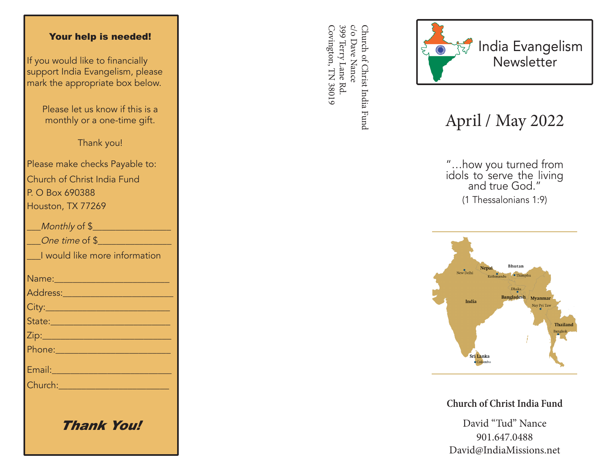## Your help is needed!

If you would like to financially support India Evangelism, please mark the appropriate box below.

> Please let us know if this is a monthly or a one-time gift.

> > Thank you!

Please make checks Payable to: Church of Christ India Fund P. O Box 690388 Houston, TX 77269

| Monthly of \$                                                                                                                                                                                                                        |
|--------------------------------------------------------------------------------------------------------------------------------------------------------------------------------------------------------------------------------------|
| One time of \$                                                                                                                                                                                                                       |
| I would like more information                                                                                                                                                                                                        |
|                                                                                                                                                                                                                                      |
| <u>Address: ________________________</u>                                                                                                                                                                                             |
|                                                                                                                                                                                                                                      |
| State: 2008 - 2008 - 2010 - 2010 - 2011 - 2012 - 2012 - 2012 - 2014 - 2012 - 2014 - 2014 - 2014 - 2014 - 2014                                                                                                                        |
|                                                                                                                                                                                                                                      |
|                                                                                                                                                                                                                                      |
| Email: 2008 - 2008 - 2014 - 2014 - 2014 - 2014 - 2014 - 2014 - 2014 - 2014 - 2014 - 2014 - 2014 - 2014 - 2014                                                                                                                        |
| Church: <u>Church Barbara and Barbara and Barbara and Barbara and Barbara and Barbara and Barbara and Barbara and Barbara and Barbara and Barbara and Barbara and Barbara and Barbara and Barbara and Barbara and Barbara and Ba</u> |
|                                                                                                                                                                                                                                      |
|                                                                                                                                                                                                                                      |

Thank You!

399 Terry Lane Rd c/o Dave Nance Covington, TN 38019 Covington, TN 38019 399 Terry Lane Rd. c/o Dave Nance Church of Christ India Fund Church of Christ India Fund



## April / May 2022

"…how you turned from idols to serve the living and true God." (1 Thessalonians 1:9)



**Church of Christ India Fund**

David "Tud" Nance 901.647.0488 David@IndiaMissions.net